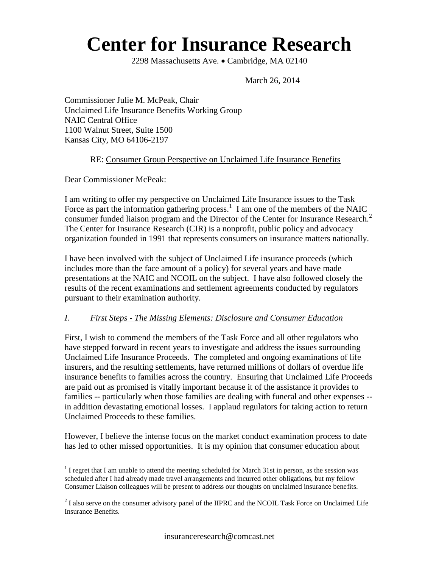# **Center for Insurance Research**

2298 Massachusetts Ave. • Cambridge, MA 02140

March 26, 2014

Commissioner Julie M. McPeak, Chair Unclaimed Life Insurance Benefits Working Group NAIC Central Office 1100 Walnut Street, Suite 1500 Kansas City, MO 64106-2197

#### RE: Consumer Group Perspective on Unclaimed Life Insurance Benefits

Dear Commissioner McPeak:

I am writing to offer my perspective on Unclaimed Life Insurance issues to the Task Force as part the information gathering process.<sup>1</sup> I am one of the members of the NAIC consumer funded liaison program and the Director of the Center for Insurance Research.<sup>2</sup> The Center for Insurance Research (CIR) is a nonprofit, public policy and advocacy organization founded in 1991 that represents consumers on insurance matters nationally.

I have been involved with the subject of Unclaimed Life insurance proceeds (which includes more than the face amount of a policy) for several years and have made presentations at the NAIC and NCOIL on the subject. I have also followed closely the results of the recent examinations and settlement agreements conducted by regulators pursuant to their examination authority.

#### *I. First Steps - The Missing Elements: Disclosure and Consumer Education*

First, I wish to commend the members of the Task Force and all other regulators who have stepped forward in recent years to investigate and address the issues surrounding Unclaimed Life Insurance Proceeds. The completed and ongoing examinations of life insurers, and the resulting settlements, have returned millions of dollars of overdue life insurance benefits to families across the country. Ensuring that Unclaimed Life Proceeds are paid out as promised is vitally important because it of the assistance it provides to families -- particularly when those families are dealing with funeral and other expenses - in addition devastating emotional losses. I applaud regulators for taking action to return Unclaimed Proceeds to these families.

However, I believe the intense focus on the market conduct examination process to date has led to other missed opportunities. It is my opinion that consumer education about

 $\overline{a}$  $<sup>1</sup>$  I regret that I am unable to attend the meeting scheduled for March 31st in person, as the session was</sup> scheduled after I had already made travel arrangements and incurred other obligations, but my fellow Consumer Liaison colleagues will be present to address our thoughts on unclaimed insurance benefits.

 $2^{2}$  I also serve on the consumer advisory panel of the IIPRC and the NCOIL Task Force on Unclaimed Life Insurance Benefits.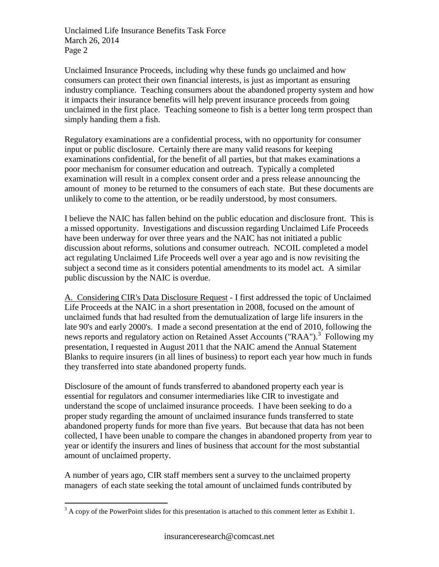Unclaimed Insurance Proceeds, including why these funds go unclaimed and how consumers can protect their own financial interests, is just as important as ensuring industry compliance. Teaching consumers about the abandoned property system and how it impacts their insurance benefits will help prevent insurance proceeds from going unclaimed in the first place. Teaching someone to fish is a better long term prospect than simply handing them a fish.

Regulatory examinations are a confidential process, with no opportunity for consumer input or public disclosure. Certainly there are many valid reasons for keeping examinations confidential, for the benefit of all parties, but that makes examinations a poor mechanism for consumer education and outreach. Typically a completed examination will result in a complex consent order and a press release announcing the amount of money to be returned to the consumers of each state. But these documents are unlikely to come to the attention, or be readily understood, by most consumers.

I believe the NAIC has fallen behind on the public education and disclosure front. This is a missed opportunity. Investigations and discussion regarding Unclaimed Life Proceeds have been underway for over three years and the NAIC has not initiated a public discussion about reforms, solutions and consumer outreach. NCOIL completed a model act regulating Unclaimed Life Proceeds well over a year ago and is now revisiting the subject a second time as it considers potential amendments to its model act. A similar public discussion by the NAIC is overdue.

A. Considering CIR's Data Disclosure Request - I first addressed the topic of Unclaimed Life Proceeds at the NAIC in a short presentation in 2008, focused on the amount of unclaimed funds that had resulted from the demutualization of large life insurers in the late 90's and early 2000's. I made a second presentation at the end of 2010, following the news reports and regulatory action on Retained Asset Accounts ("RAA").<sup>3</sup> Following my presentation, I requested in August 2011 that the NAIC amend the Annual Statement Blanks to require insurers (in all lines of business) to report each year how much in funds they transferred into state abandoned property funds.

Disclosure of the amount of funds transferred to abandoned property each year is essential for regulators and consumer intermediaries like CIR to investigate and understand the scope of unclaimed insurance proceeds. I have been seeking to do a proper study regarding the amount of unclaimed insurance funds transferred to state abandoned property funds for more than five years. But because that data has not been collected, I have been unable to compare the changes in abandoned property from year to year or identify the insurers and lines of business that account for the most substantial amount of unclaimed property.

A number of years ago, CIR staff members sent a survey to the unclaimed property managers of each state seeking the total amount of unclaimed funds contributed by

 $\overline{a}$ 

 $3 A$  copy of the PowerPoint slides for this presentation is attached to this comment letter as Exhibit 1.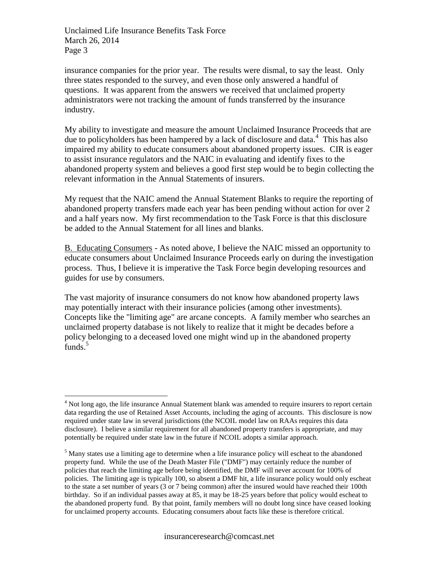$\overline{a}$ 

insurance companies for the prior year. The results were dismal, to say the least. Only three states responded to the survey, and even those only answered a handful of questions. It was apparent from the answers we received that unclaimed property administrators were not tracking the amount of funds transferred by the insurance industry.

My ability to investigate and measure the amount Unclaimed Insurance Proceeds that are due to policyholders has been hampered by a lack of disclosure and data.<sup>4</sup> This has also impaired my ability to educate consumers about abandoned property issues. CIR is eager to assist insurance regulators and the NAIC in evaluating and identify fixes to the abandoned property system and believes a good first step would be to begin collecting the relevant information in the Annual Statements of insurers.

My request that the NAIC amend the Annual Statement Blanks to require the reporting of abandoned property transfers made each year has been pending without action for over 2 and a half years now. My first recommendation to the Task Force is that this disclosure be added to the Annual Statement for all lines and blanks.

B. Educating Consumers - As noted above, I believe the NAIC missed an opportunity to educate consumers about Unclaimed Insurance Proceeds early on during the investigation process. Thus, I believe it is imperative the Task Force begin developing resources and guides for use by consumers.

The vast majority of insurance consumers do not know how abandoned property laws may potentially interact with their insurance policies (among other investments). Concepts like the "limiting age" are arcane concepts. A family member who searches an unclaimed property database is not likely to realize that it might be decades before a policy belonging to a deceased loved one might wind up in the abandoned property funds. $5$ 

<sup>&</sup>lt;sup>4</sup> Not long ago, the life insurance Annual Statement blank was amended to require insurers to report certain data regarding the use of Retained Asset Accounts, including the aging of accounts. This disclosure is now required under state law in several jurisdictions (the NCOIL model law on RAAs requires this data disclosure). I believe a similar requirement for all abandoned property transfers is appropriate, and may potentially be required under state law in the future if NCOIL adopts a similar approach.

<sup>&</sup>lt;sup>5</sup> Many states use a limiting age to determine when a life insurance policy will escheat to the abandoned property fund. While the use of the Death Master File ("DMF") may certainly reduce the number of policies that reach the limiting age before being identified, the DMF will never account for 100% of policies. The limiting age is typically 100, so absent a DMF hit, a life insurance policy would only escheat to the state a set number of years (3 or 7 being common) after the insured would have reached their 100th birthday. So if an individual passes away at 85, it may be 18-25 years before that policy would escheat to the abandoned property fund. By that point, family members will no doubt long since have ceased looking for unclaimed property accounts. Educating consumers about facts like these is therefore critical.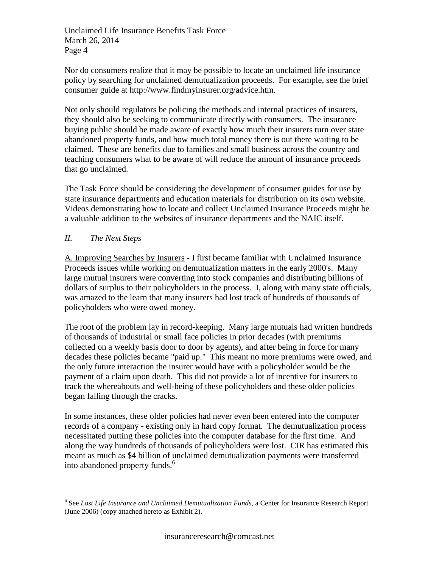Nor do consumers realize that it may be possible to locate an unclaimed life insurance policy by searching for unclaimed demutualization proceeds. For example, see the brief consumer guide at http://www.findmyinsurer.org/advice.htm.

Not only should regulators be policing the methods and internal practices of insurers, they should also be seeking to communicate directly with consumers. The insurance buying public should be made aware of exactly how much their insurers turn over state abandoned property funds, and how much total money there is out there waiting to be claimed. These are benefits due to families and small business across the country and teaching consumers what to be aware of will reduce the amount of insurance proceeds that go unclaimed.

The Task Force should be considering the development of consumer guides for use by state insurance departments and education materials for distribution on its own website. Videos demonstrating how to locate and collect Unclaimed Insurance Proceeds might be a valuable addition to the websites of insurance departments and the NAIC itself.

### *II. The Next Steps*

 $\overline{a}$ 

A. Improving Searches by Insurers - I first became familiar with Unclaimed Insurance Proceeds issues while working on demutualization matters in the early 2000's. Many large mutual insurers were converting into stock companies and distributing billions of dollars of surplus to their policyholders in the process. I, along with many state officials, was amazed to the learn that many insurers had lost track of hundreds of thousands of policyholders who were owed money.

The root of the problem lay in record-keeping. Many large mutuals had written hundreds of thousands of industrial or small face policies in prior decades (with premiums collected on a weekly basis door to door by agents), and after being in force for many decades these policies became "paid up." This meant no more premiums were owed, and the only future interaction the insurer would have with a policyholder would be the payment of a claim upon death. This did not provide a lot of incentive for insurers to track the whereabouts and well-being of these policyholders and these older policies began falling through the cracks.

In some instances, these older policies had never even been entered into the computer records of a company - existing only in hard copy format. The demutualization process necessitated putting these policies into the computer database for the first time. And along the way hundreds of thousands of policyholders were lost. CIR has estimated this meant as much as \$4 billion of unclaimed demutualization payments were transferred into abandoned property funds.<sup>6</sup>

<sup>6</sup> See *Lost Life Insurance and Unclaimed Demutualization Funds*, a Center for Insurance Research Report (June 2006) (copy attached hereto as Exhibit 2).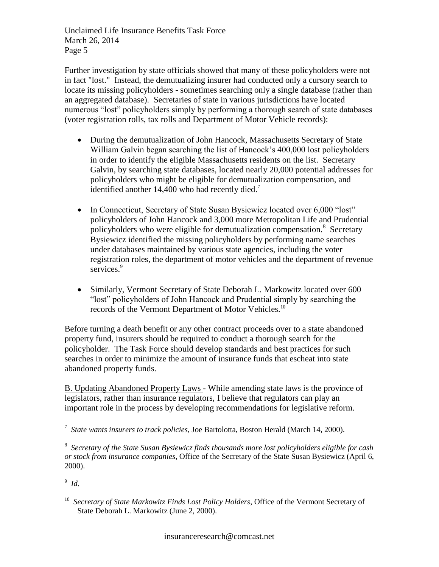Further investigation by state officials showed that many of these policyholders were not in fact "lost." Instead, the demutualizing insurer had conducted only a cursory search to locate its missing policyholders - sometimes searching only a single database (rather than an aggregated database). Secretaries of state in various jurisdictions have located numerous "lost" policyholders simply by performing a thorough search of state databases (voter registration rolls, tax rolls and Department of Motor Vehicle records):

- During the demutualization of John Hancock, Massachusetts Secretary of State William Galvin began searching the list of Hancock's 400,000 lost policyholders in order to identify the eligible Massachusetts residents on the list. Secretary Galvin, by searching state databases, located nearly 20,000 potential addresses for policyholders who might be eligible for demutualization compensation, and identified another  $14,400$  who had recently died.<sup>7</sup>
- In Connecticut, Secretary of State Susan Bysiewicz located over 6,000 "lost" policyholders of John Hancock and 3,000 more Metropolitan Life and Prudential policyholders who were eligible for demutualization compensation.<sup>8</sup> Secretary Bysiewicz identified the missing policyholders by performing name searches under databases maintained by various state agencies, including the voter registration roles, the department of motor vehicles and the department of revenue services.<sup>9</sup>
- Similarly, Vermont Secretary of State Deborah L. Markowitz located over 600 "lost" policyholders of John Hancock and Prudential simply by searching the records of the Vermont Department of Motor Vehicles.<sup>10</sup>

Before turning a death benefit or any other contract proceeds over to a state abandoned property fund, insurers should be required to conduct a thorough search for the policyholder. The Task Force should develop standards and best practices for such searches in order to minimize the amount of insurance funds that escheat into state abandoned property funds.

B. Updating Abandoned Property Laws - While amending state laws is the province of legislators, rather than insurance regulators, I believe that regulators can play an important role in the process by developing recommendations for legislative reform.

9 *Id*.

 $\overline{a}$ 

<sup>7</sup> *State wants insurers to track policies*, Joe Bartolotta, Boston Herald (March 14, 2000).

<sup>8</sup> *Secretary of the State Susan Bysiewicz finds thousands more lost policyholders eligible for cash or stock from insurance companies*, Office of the Secretary of the State Susan Bysiewicz (April 6, 2000).

<sup>&</sup>lt;sup>10</sup> Secretary of State Markowitz Finds Lost Policy Holders, Office of the Vermont Secretary of State Deborah L. Markowitz (June 2, 2000).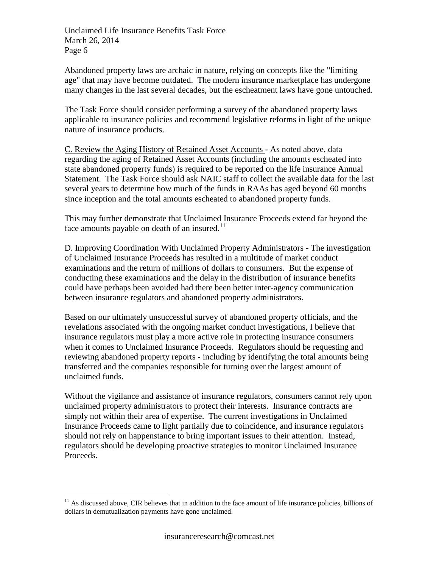Abandoned property laws are archaic in nature, relying on concepts like the "limiting age" that may have become outdated. The modern insurance marketplace has undergone many changes in the last several decades, but the escheatment laws have gone untouched.

The Task Force should consider performing a survey of the abandoned property laws applicable to insurance policies and recommend legislative reforms in light of the unique nature of insurance products.

C. Review the Aging History of Retained Asset Accounts - As noted above, data regarding the aging of Retained Asset Accounts (including the amounts escheated into state abandoned property funds) is required to be reported on the life insurance Annual Statement. The Task Force should ask NAIC staff to collect the available data for the last several years to determine how much of the funds in RAAs has aged beyond 60 months since inception and the total amounts escheated to abandoned property funds.

This may further demonstrate that Unclaimed Insurance Proceeds extend far beyond the face amounts payable on death of an insured. $11$ 

D. Improving Coordination With Unclaimed Property Administrators - The investigation of Unclaimed Insurance Proceeds has resulted in a multitude of market conduct examinations and the return of millions of dollars to consumers. But the expense of conducting these examinations and the delay in the distribution of insurance benefits could have perhaps been avoided had there been better inter-agency communication between insurance regulators and abandoned property administrators.

Based on our ultimately unsuccessful survey of abandoned property officials, and the revelations associated with the ongoing market conduct investigations, I believe that insurance regulators must play a more active role in protecting insurance consumers when it comes to Unclaimed Insurance Proceeds. Regulators should be requesting and reviewing abandoned property reports - including by identifying the total amounts being transferred and the companies responsible for turning over the largest amount of unclaimed funds.

Without the vigilance and assistance of insurance regulators, consumers cannot rely upon unclaimed property administrators to protect their interests. Insurance contracts are simply not within their area of expertise. The current investigations in Unclaimed Insurance Proceeds came to light partially due to coincidence, and insurance regulators should not rely on happenstance to bring important issues to their attention. Instead, regulators should be developing proactive strategies to monitor Unclaimed Insurance Proceeds.

 $\overline{a}$  $11$  As discussed above, CIR believes that in addition to the face amount of life insurance policies, billions of dollars in demutualization payments have gone unclaimed.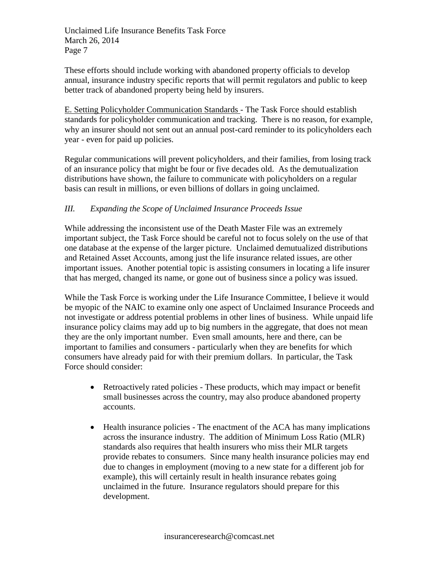These efforts should include working with abandoned property officials to develop annual, insurance industry specific reports that will permit regulators and public to keep better track of abandoned property being held by insurers.

E. Setting Policyholder Communication Standards - The Task Force should establish standards for policyholder communication and tracking. There is no reason, for example, why an insurer should not sent out an annual post-card reminder to its policyholders each year - even for paid up policies.

Regular communications will prevent policyholders, and their families, from losing track of an insurance policy that might be four or five decades old. As the demutualization distributions have shown, the failure to communicate with policyholders on a regular basis can result in millions, or even billions of dollars in going unclaimed.

## *III. Expanding the Scope of Unclaimed Insurance Proceeds Issue*

While addressing the inconsistent use of the Death Master File was an extremely important subject, the Task Force should be careful not to focus solely on the use of that one database at the expense of the larger picture. Unclaimed demutualized distributions and Retained Asset Accounts, among just the life insurance related issues, are other important issues. Another potential topic is assisting consumers in locating a life insurer that has merged, changed its name, or gone out of business since a policy was issued.

While the Task Force is working under the Life Insurance Committee, I believe it would be myopic of the NAIC to examine only one aspect of Unclaimed Insurance Proceeds and not investigate or address potential problems in other lines of business. While unpaid life insurance policy claims may add up to big numbers in the aggregate, that does not mean they are the only important number. Even small amounts, here and there, can be important to families and consumers - particularly when they are benefits for which consumers have already paid for with their premium dollars. In particular, the Task Force should consider:

- Retroactively rated policies These products, which may impact or benefit small businesses across the country, may also produce abandoned property accounts.
- Health insurance policies The enactment of the ACA has many implications across the insurance industry. The addition of Minimum Loss Ratio (MLR) standards also requires that health insurers who miss their MLR targets provide rebates to consumers. Since many health insurance policies may end due to changes in employment (moving to a new state for a different job for example), this will certainly result in health insurance rebates going unclaimed in the future. Insurance regulators should prepare for this development.